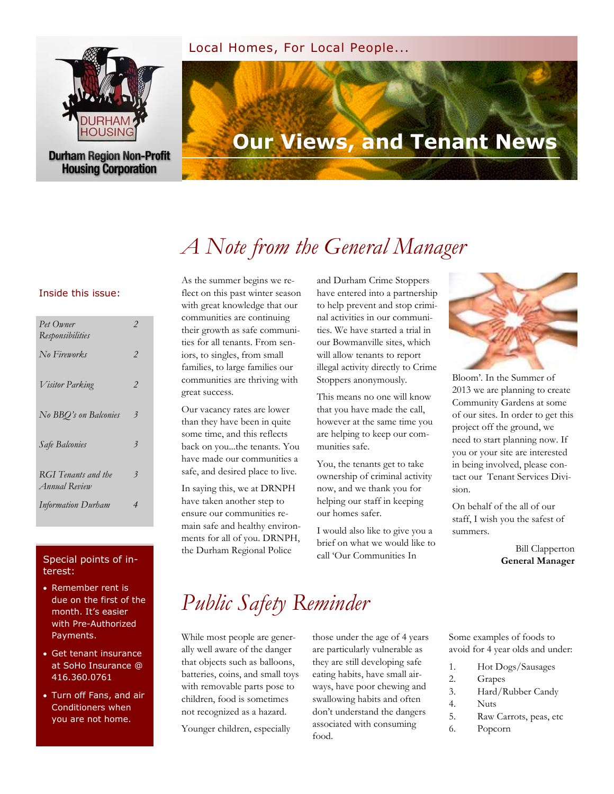### Local Homes, For Local People...



**Durham Region Non-Profit Housing Corporation** 

# **Our Views, and Tenant News**

# *A Note from the General Manager*

### Inside this issue:

| Pet Owner<br>Responsibilities               | $\mathcal{P}$            |
|---------------------------------------------|--------------------------|
| No Fireworks                                | $\mathcal{P}$            |
| <i>Visitor Parking</i>                      | $\mathcal{P}$            |
| No BBO's on Balconies                       | $\overline{\mathbf{3}}$  |
| Safe Balconies                              | $\overline{\mathbf{3}}$  |
| RGI Tenants and the<br><i>Annual</i> Review | $\overline{\mathbf{3}}$  |
| <b>Information Durham</b>                   | $\overline{\mathcal{A}}$ |

### Special points of interest:

- Remember rent is due on the first of the month. It's easier with Pre-Authorized Payments.
- Get tenant insurance at SoHo Insurance @ 416.360.0761
- Turn off Fans, and air Conditioners when you are not home.

As the summer begins we reflect on this past winter season with great knowledge that our communities are continuing their growth as safe communities for all tenants. From seniors, to singles, from small families, to large families our communities are thriving with great success.

Our vacancy rates are lower than they have been in quite some time, and this reflects back on you...the tenants. You have made our communities a safe, and desired place to live.

In saying this, we at DRNPH have taken another step to ensure our communities remain safe and healthy environments for all of you. DRNPH, the Durham Regional Police

and Durham Crime Stoppers have entered into a partnership to help prevent and stop criminal activities in our communities. We have started a trial in our Bowmanville sites, which will allow tenants to report illegal activity directly to Crime Stoppers anonymously.

This means no one will know that you have made the call, however at the same time you are helping to keep our communities safe.

You, the tenants get to take ownership of criminal activity now, and we thank you for helping our staff in keeping our homes safer.

I would also like to give you a brief on what we would like to call 'Our Communities In



Bloom'. In the Summer of 2013 we are planning to create Community Gardens at some of our sites. In order to get this project off the ground, we need to start planning now. If you or your site are interested in being involved, please contact our Tenant Services Division.

On behalf of the all of our staff, I wish you the safest of summers.

> Bill Clapperton **General Manager**

# *Public Safety Reminder*

While most people are generally well aware of the danger that objects such as balloons, batteries, coins, and small toys with removable parts pose to children, food is sometimes not recognized as a hazard.

Younger children, especially

those under the age of 4 years are particularly vulnerable as they are still developing safe eating habits, have small airways, have poor chewing and swallowing habits and often don't understand the dangers associated with consuming food.

Some examples of foods to avoid for 4 year olds and under:

- 1. Hot Dogs/Sausages
- 2. Grapes
- 3. Hard/Rubber Candy
- 4. Nuts
- 5. Raw Carrots, peas, etc
- 6. Popcorn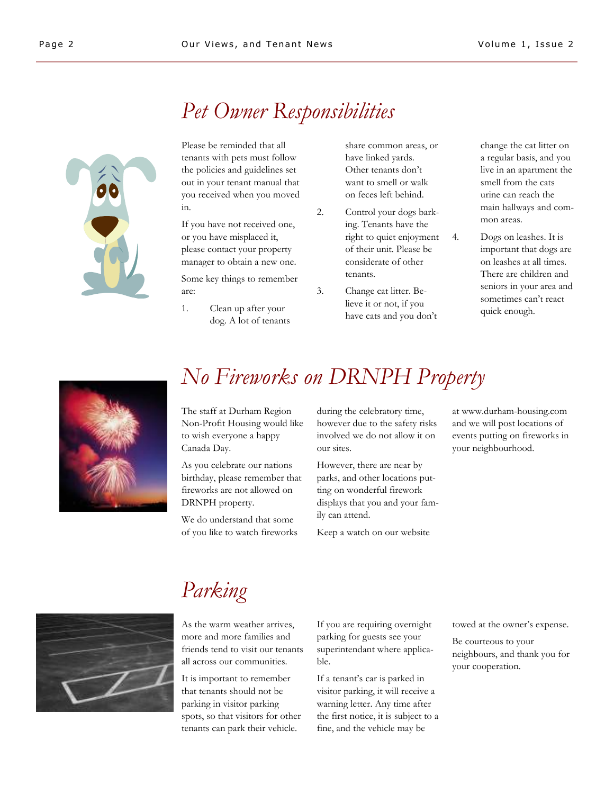# *Pet Owner Responsibilities*



Please be reminded that all tenants with pets must follow the policies and guidelines set out in your tenant manual that you received when you moved in.

If you have not received one, or you have misplaced it, please contact your property manager to obtain a new one.

Some key things to remember are:

1. Clean up after your dog. A lot of tenants

share common areas, or have linked yards. Other tenants don't want to smell or walk on feces left behind.

- 2. Control your dogs barking. Tenants have the right to quiet enjoyment of their unit. Please be considerate of other tenants.
- 3. Change cat litter. Believe it or not, if you have cats and you don't

change the cat litter on a regular basis, and you live in an apartment the smell from the cats urine can reach the main hallways and common areas.

4. Dogs on leashes. It is important that dogs are on leashes at all times. There are children and seniors in your area and sometimes can't react quick enough.



# *No Fireworks on DRNPH Property*

The staff at Durham Region Non-Profit Housing would like to wish everyone a happy Canada Day.

As you celebrate our nations birthday, please remember that fireworks are not allowed on DRNPH property.

We do understand that some of you like to watch fireworks during the celebratory time, however due to the safety risks involved we do not allow it on our sites.

However, there are near by parks, and other locations putting on wonderful firework displays that you and your family can attend.

Keep a watch on our website

at www.durham-housing.com and we will post locations of events putting on fireworks in your neighbourhood.



# *Parking*

As the warm weather arrives, more and more families and friends tend to visit our tenants all across our communities.

It is important to remember that tenants should not be parking in visitor parking spots, so that visitors for other tenants can park their vehicle.

If you are requiring overnight parking for guests see your superintendant where applicable.

If a tenant's car is parked in visitor parking, it will receive a warning letter. Any time after the first notice, it is subject to a fine, and the vehicle may be

towed at the owner's expense.

Be courteous to your neighbours, and thank you for your cooperation.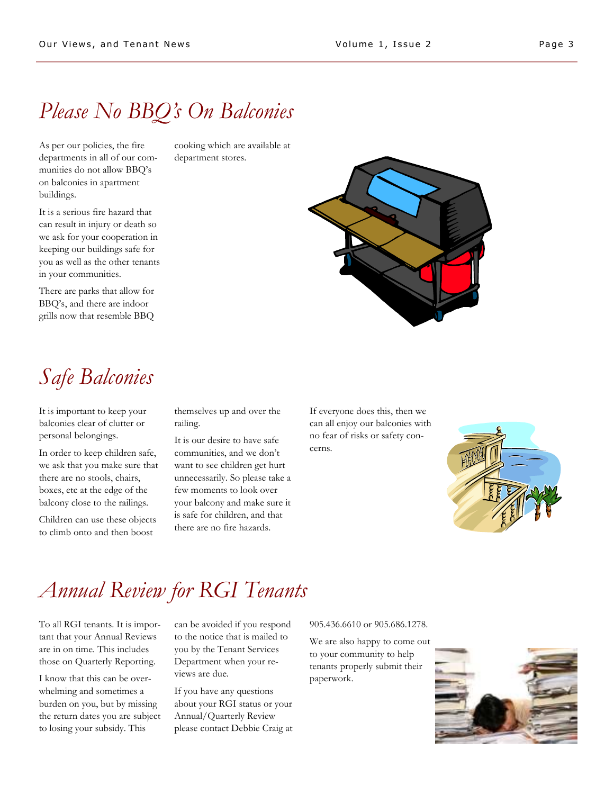# *Please No BBQ's On Balconies*

As per our policies, the fire departments in all of our communities do not allow BBQ's on balconies in apartment buildings.

It is a serious fire hazard that can result in injury or death so we ask for your cooperation in keeping our buildings safe for you as well as the other tenants in your communities.

There are parks that allow for BBQ's, and there are indoor grills now that resemble BBQ

cooking which are available at department stores.



# *Safe Balconies*

It is important to keep your balconies clear of clutter or personal belongings.

In order to keep children safe, we ask that you make sure that there are no stools, chairs, boxes, etc at the edge of the balcony close to the railings.

Children can use these objects to climb onto and then boost

themselves up and over the railing.

It is our desire to have safe communities, and we don't want to see children get hurt unnecessarily. So please take a few moments to look over your balcony and make sure it is safe for children, and that there are no fire hazards.

If everyone does this, then we can all enjoy our balconies with no fear of risks or safety concerns.



# *Annual Review for RGI Tenants*

To all RGI tenants. It is important that your Annual Reviews are in on time. This includes those on Quarterly Reporting.

I know that this can be overwhelming and sometimes a burden on you, but by missing the return dates you are subject to losing your subsidy. This

can be avoided if you respond to the notice that is mailed to you by the Tenant Services Department when your reviews are due.

If you have any questions about your RGI status or your Annual/Quarterly Review please contact Debbie Craig at

905.436.6610 or 905.686.1278.

We are also happy to come out to your community to help tenants properly submit their paperwork.